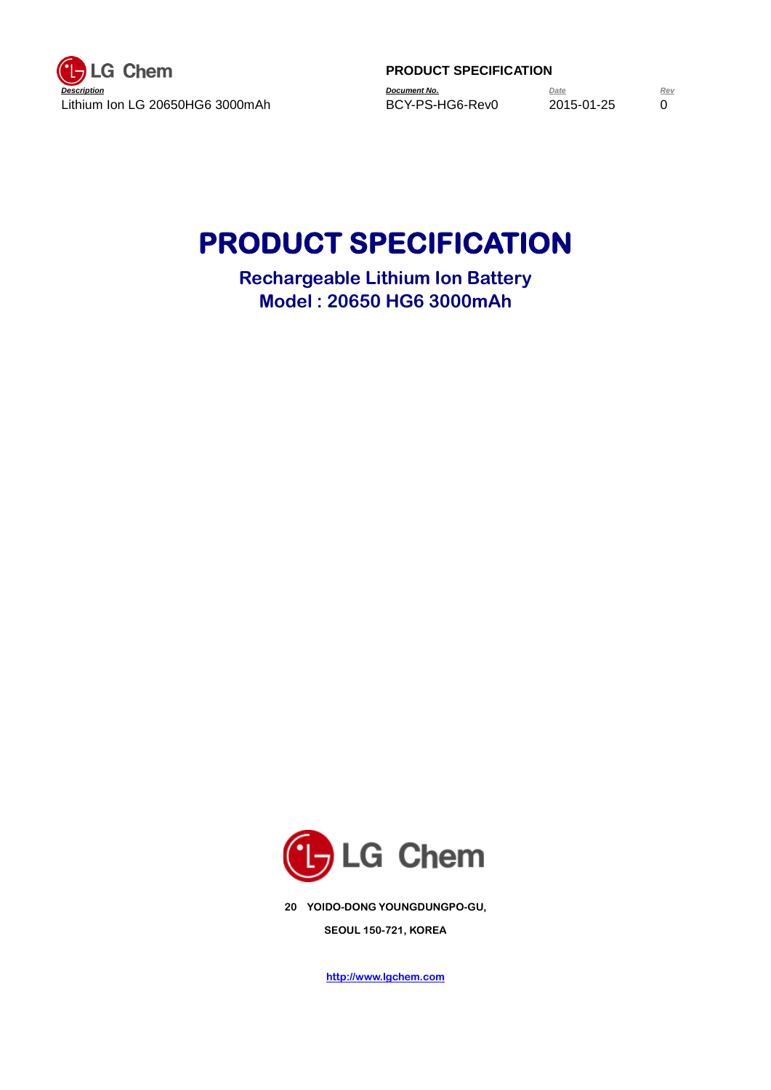

# **PRODUCT SPECIFICATION**

**Rechargeable Lithium Ion Battery Model : 20650 HG6 3000mAh**



**20 YOIDO-DONG YOUNGDUNGPO-GU, SEOUL 150-721, KOREA**

**http://www.lgchem.com**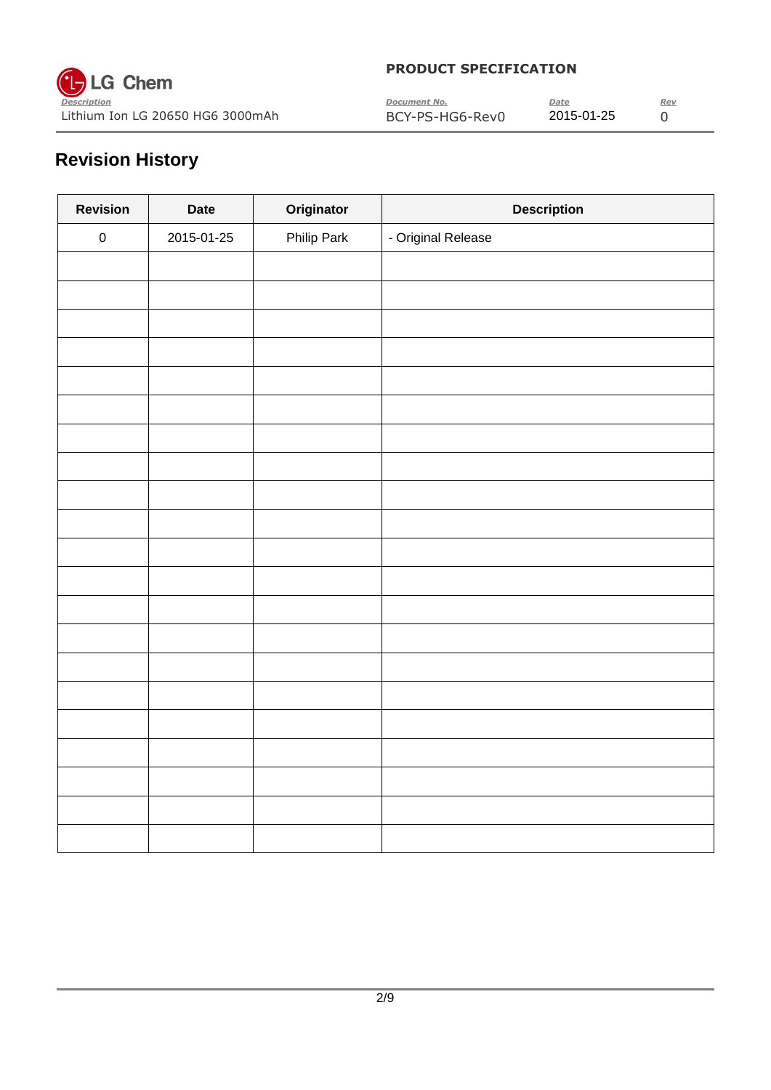

| $\sim$<br>Description            | Document No.    | Date       | Rev |
|----------------------------------|-----------------|------------|-----|
| Lithium Ion LG 20650 HG6 3000mAh | BCY-PS-HG6-Rev0 | 2015-01-25 |     |

# **Revision History**

| <b>Revision</b> | <b>Date</b> | Originator  | <b>Description</b> |
|-----------------|-------------|-------------|--------------------|
| ${\bf 0}$       | 2015-01-25  | Philip Park | - Original Release |
|                 |             |             |                    |
|                 |             |             |                    |
|                 |             |             |                    |
|                 |             |             |                    |
|                 |             |             |                    |
|                 |             |             |                    |
|                 |             |             |                    |
|                 |             |             |                    |
|                 |             |             |                    |
|                 |             |             |                    |
|                 |             |             |                    |
|                 |             |             |                    |
|                 |             |             |                    |
|                 |             |             |                    |
|                 |             |             |                    |
|                 |             |             |                    |
|                 |             |             |                    |
|                 |             |             |                    |
|                 |             |             |                    |
|                 |             |             |                    |
|                 |             |             |                    |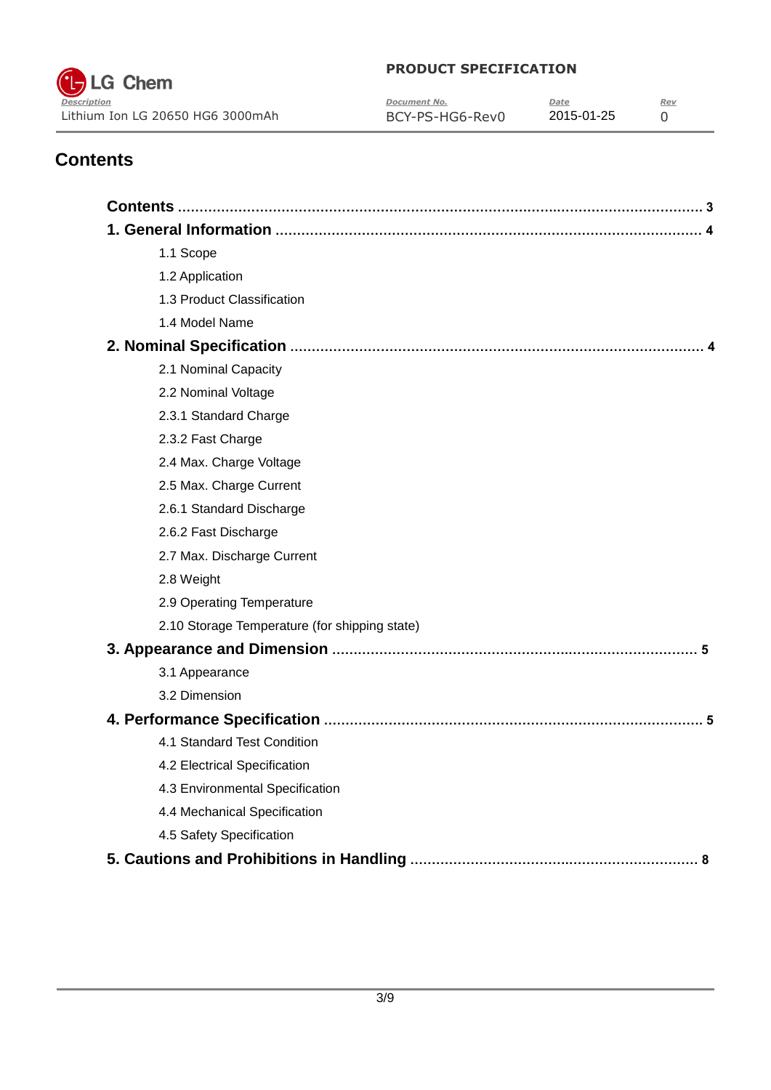

| $\tilde{\phantom{a}}$<br>Description | Document No.    | Date       | Rev |
|--------------------------------------|-----------------|------------|-----|
| Lithium Ion LG 20650 HG6 3000mAh     | BCY-PS-HG6-Rev0 | 2015-01-25 |     |

# **Contents**

| 1.1 Scope                                     |
|-----------------------------------------------|
| 1.2 Application                               |
| 1.3 Product Classification                    |
| 1.4 Model Name                                |
|                                               |
| 2.1 Nominal Capacity                          |
| 2.2 Nominal Voltage                           |
| 2.3.1 Standard Charge                         |
| 2.3.2 Fast Charge                             |
| 2.4 Max. Charge Voltage                       |
| 2.5 Max. Charge Current                       |
| 2.6.1 Standard Discharge                      |
| 2.6.2 Fast Discharge                          |
| 2.7 Max. Discharge Current                    |
| 2.8 Weight                                    |
| 2.9 Operating Temperature                     |
| 2.10 Storage Temperature (for shipping state) |
|                                               |
| 3.1 Appearance                                |
| 3.2 Dimension                                 |
|                                               |
| 4.1 Standard Test Condition                   |
| 4.2 Electrical Specification                  |
| 4.3 Environmental Specification               |
| 4.4 Mechanical Specification                  |
| 4.5 Safety Specification                      |
|                                               |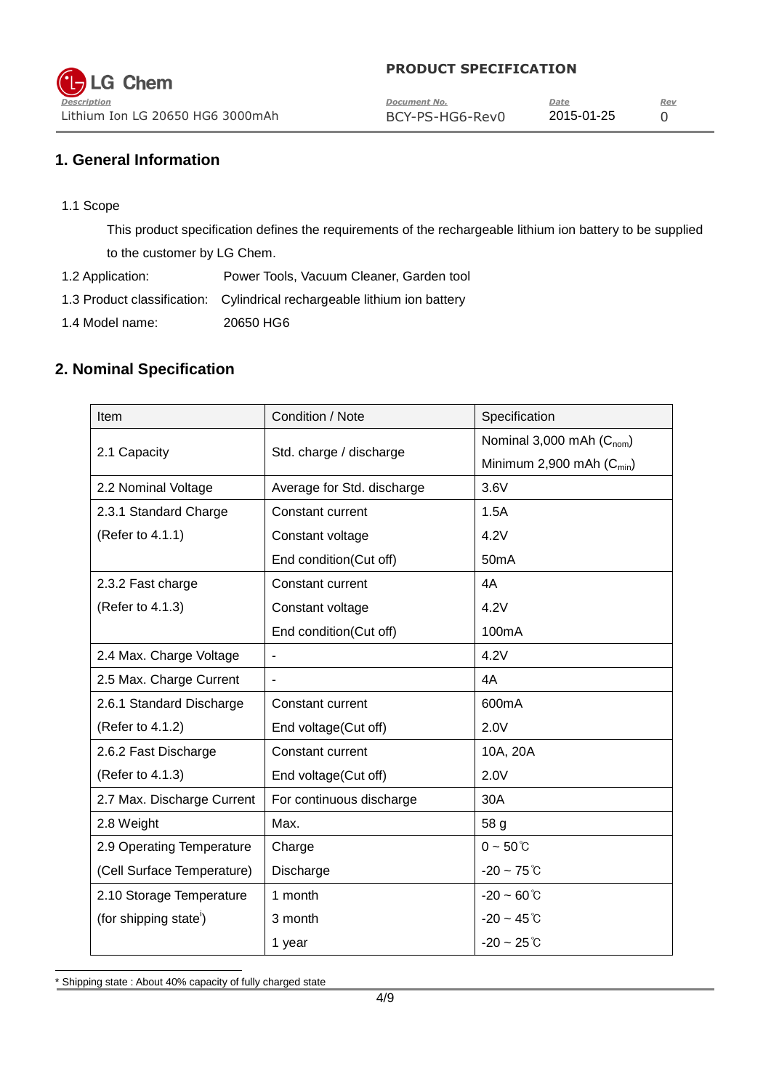| $\tilde{\phantom{a}}$<br>Description | Document No.    | Date       | Rev |
|--------------------------------------|-----------------|------------|-----|
| Lithium Ion LG 20650 HG6 3000mAh     | BCY-PS-HG6-Rev0 | 2015-01-25 |     |

## **1. General Information**

1.1 Scope

This product specification defines the requirements of the rechargeable lithium ion battery to be supplied to the customer by LG Chem.

- 1.2 Application: Power Tools, Vacuum Cleaner, Garden tool
- 1.3 Product classification: Cylindrical rechargeable lithium ion battery
- 1.4 Model name: 20650 HG6

## **2. Nominal Specification**

| Item                               | Condition / Note           | Specification                 |
|------------------------------------|----------------------------|-------------------------------|
|                                    |                            | Nominal 3,000 mAh $(C_{nom})$ |
| 2.1 Capacity                       | Std. charge / discharge    | Minimum 2,900 mAh $(C_{min})$ |
| 2.2 Nominal Voltage                | Average for Std. discharge | 3.6V                          |
| 2.3.1 Standard Charge              | <b>Constant current</b>    | 1.5A                          |
| (Refer to 4.1.1)                   | Constant voltage           | 4.2V                          |
|                                    | End condition(Cut off)     | 50 <sub>m</sub> A             |
| 2.3.2 Fast charge                  | Constant current           | 4A                            |
| (Refer to 4.1.3)                   | Constant voltage           | 4.2V                          |
|                                    | End condition(Cut off)     | 100mA                         |
| 2.4 Max. Charge Voltage            | ٠                          | 4.2V                          |
| 2.5 Max. Charge Current            | ÷                          | 4A                            |
| 2.6.1 Standard Discharge           | Constant current           | 600mA                         |
| (Refer to 4.1.2)                   | End voltage(Cut off)       | 2.0V                          |
| 2.6.2 Fast Discharge               | Constant current           | 10A, 20A                      |
| (Refer to 4.1.3)                   | End voltage(Cut off)       | 2.0V                          |
| 2.7 Max. Discharge Current         | For continuous discharge   | 30A                           |
| 2.8 Weight                         | Max.                       | 58 g                          |
| 2.9 Operating Temperature          | Charge                     | $0 - 50^{\circ}$ C            |
| (Cell Surface Temperature)         | Discharge                  | $-20 - 75^{\circ}$ C          |
| 2.10 Storage Temperature           | 1 month                    | $-20 - 60^{\circ}$ C          |
| (for shipping state <sup>'</sup> ) | 3 month                    | $-20 - 45^{\circ}$ C          |
|                                    | 1 year                     | $-20 - 25^{\circ}$ C          |

l \* Shipping state : About 40% capacity of fully charged state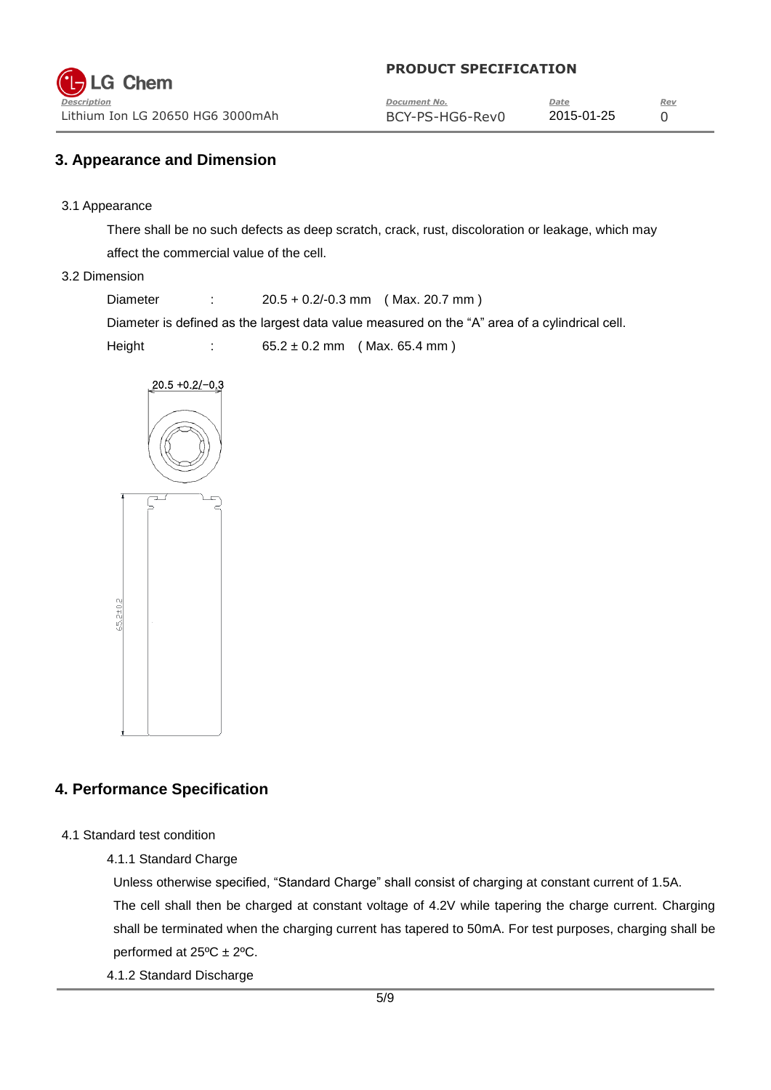| $\tilde{\phantom{a}}$<br>Description | Document No.    | Date       | Rev |
|--------------------------------------|-----------------|------------|-----|
| Lithium Ion LG 20650 HG6 3000mAh     | BCY-PS-HG6-Rev0 | 2015-01-25 |     |

#### **3. Appearance and Dimension**

3.1 Appearance

There shall be no such defects as deep scratch, crack, rust, discoloration or leakage, which may affect the commercial value of the cell.

#### 3.2 Dimension

Diameter : 20.5 + 0.2/-0.3 mm ( Max. 20.7 mm )

Diameter is defined as the largest data value measured on the "A" area of a cylindrical cell.

Height : 65.2 ± 0.2 mm (Max. 65.4 mm)



#### **4. Performance Specification**

- 4.1 Standard test condition
	- 4.1.1 Standard Charge

Unless otherwise specified, "Standard Charge" shall consist of charging at constant current of 1.5A. The cell shall then be charged at constant voltage of 4.2V while tapering the charge current. Charging shall be terminated when the charging current has tapered to 50mA. For test purposes, charging shall be performed at  $25^{\circ}$ C  $\pm$  2°C.

4.1.2 Standard Discharge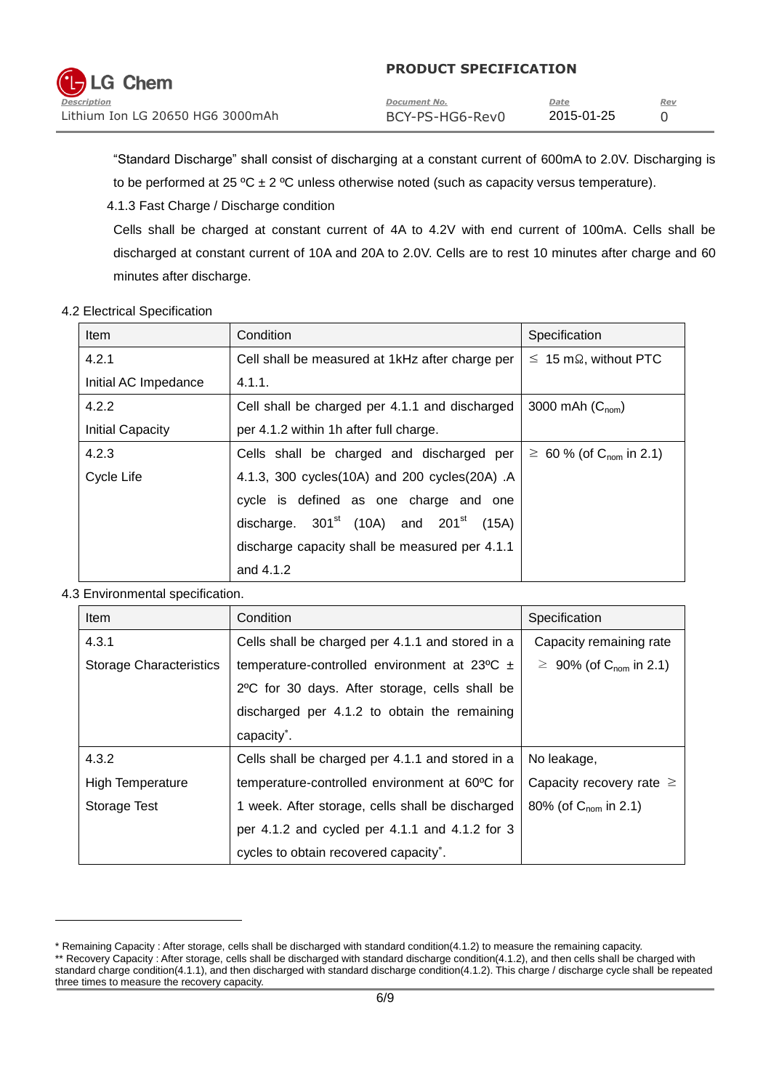| $\overline{\phantom{a}}$<br>Description | Document No.    | Date       | Rev |
|-----------------------------------------|-----------------|------------|-----|
| Lithium Ion LG 20650 HG6 3000mAh        | BCY-PS-HG6-Rev0 | 2015-01-25 |     |

"Standard Discharge" shall consist of discharging at a constant current of 600mA to 2.0V. Discharging is to be performed at 25 °C  $\pm$  2 °C unless otherwise noted (such as capacity versus temperature).

4.1.3 Fast Charge / Discharge condition

Cells shall be charged at constant current of 4A to 4.2V with end current of 100mA. Cells shall be discharged at constant current of 10A and 20A to 2.0V. Cells are to rest 10 minutes after charge and 60 minutes after discharge.

#### 4.2 Electrical Specification

| Item                    | Condition                                               | Specification                              |
|-------------------------|---------------------------------------------------------|--------------------------------------------|
| 4.2.1                   | Cell shall be measured at 1kHz after charge per         | $\leq 15 \,\mathrm{m}\Omega$ , without PTC |
| Initial AC Impedance    | 4.1.1.                                                  |                                            |
| 4.2.2                   | Cell shall be charged per 4.1.1 and discharged          | 3000 mAh $(C_{nom})$                       |
| <b>Initial Capacity</b> | per 4.1.2 within 1h after full charge.                  |                                            |
| 4.2.3                   | Cells shall be charged and discharged per               | $\geq 60$ % (of C <sub>nom</sub> in 2.1)   |
| Cycle Life              | 4.1.3, 300 cycles(10A) and 200 cycles(20A) .A           |                                            |
|                         | cycle is defined as one charge and one                  |                                            |
|                         | discharge. $301st$ (10A) and 201 <sup>st</sup><br>(15A) |                                            |
|                         | discharge capacity shall be measured per 4.1.1          |                                            |
|                         | and 4.1.2                                               |                                            |

#### 4.3 Environmental specification.

l

| <b>Item</b>                    | Condition                                                  | Specification                            |
|--------------------------------|------------------------------------------------------------|------------------------------------------|
| 4.3.1                          | Cells shall be charged per 4.1.1 and stored in a           | Capacity remaining rate                  |
| <b>Storage Characteristics</b> | temperature-controlled environment at $23^{\circ}$ C $\pm$ | $\geq 90\%$ (of C <sub>nom</sub> in 2.1) |
|                                | 2°C for 30 days. After storage, cells shall be             |                                          |
|                                | discharged per 4.1.2 to obtain the remaining               |                                          |
|                                | capacity <sup>*</sup> .                                    |                                          |
| 4.3.2                          | Cells shall be charged per 4.1.1 and stored in a           | No leakage,                              |
| <b>High Temperature</b>        | temperature-controlled environment at 60°C for             | Capacity recovery rate $\geq$            |
| Storage Test                   | 1 week. After storage, cells shall be discharged           | 80% (of $C_{\text{nom}}$ in 2.1)         |
|                                | per 4.1.2 and cycled per 4.1.1 and 4.1.2 for 3             |                                          |
|                                | cycles to obtain recovered capacity*.                      |                                          |

<sup>\*</sup> Remaining Capacity : After storage, cells shall be discharged with standard condition(4.1.2) to measure the remaining capacity. \*\* Recovery Capacity : After storage, cells shall be discharged with standard discharge condition(4.1.2), and then cells shall be charged with standard charge condition(4.1.1), and then discharged with standard discharge condition(4.1.2). This charge / discharge cycle shall be repeated three times to measure the recovery capacity.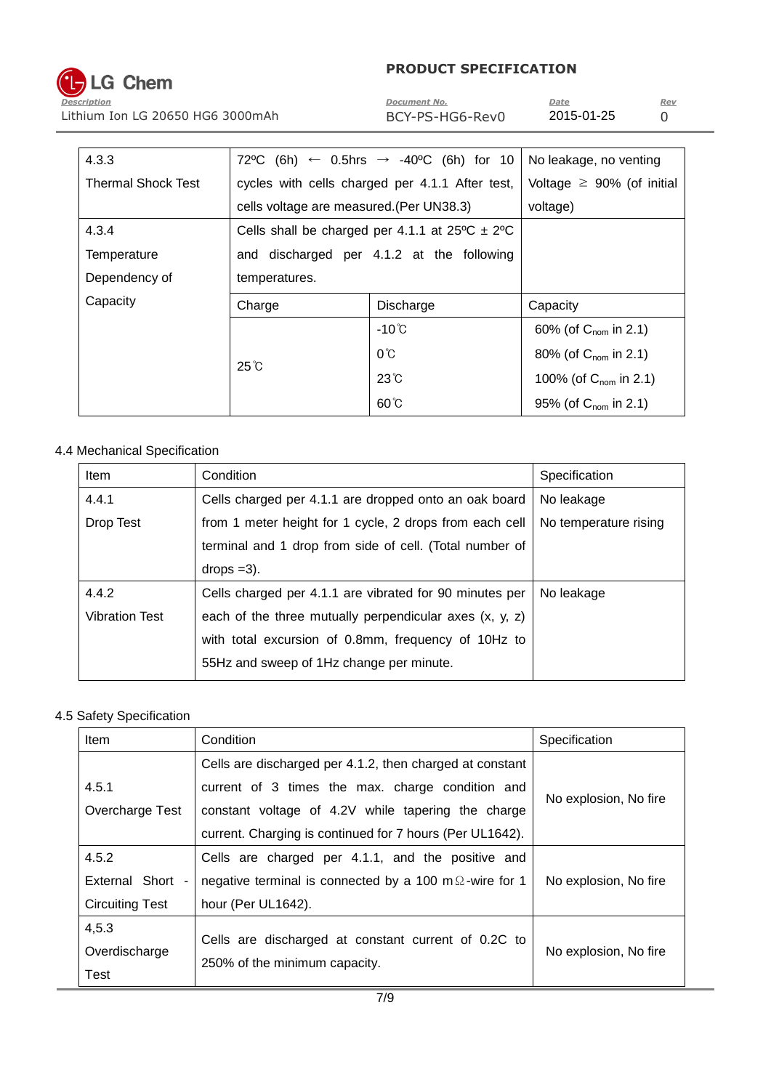# **LG Chem**

#### **PRODUCT SPECIFICATION**

*Description Document No. Date Rev* Lithium Ion LG 20650 HG6 3000mAh BCY-PS-HG6-Rev0 2015-01-25 0

| 4.3.3                     |                                                              | 72 °C (6h) ← 0.5hrs → -40 °C (6h) for 10        | No leakage, no venting            |
|---------------------------|--------------------------------------------------------------|-------------------------------------------------|-----------------------------------|
| <b>Thermal Shock Test</b> |                                                              | cycles with cells charged per 4.1.1 After test, | Voltage $\geq$ 90% (of initial    |
|                           | cells voltage are measured. (Per UN38.3)                     |                                                 | voltage)                          |
| 4.3.4                     | Cells shall be charged per 4.1.1 at $25^{\circ}$ C $\pm$ 2°C |                                                 |                                   |
| Temperature               | and discharged per 4.1.2 at the following                    |                                                 |                                   |
| Dependency of             | temperatures.                                                |                                                 |                                   |
| Capacity                  | Charge                                                       | Discharge                                       | Capacity                          |
|                           |                                                              | $-10^{\circ}$ C                                 | 60% (of $C_{\text{nom}}$ in 2.1)  |
|                           |                                                              | $0^{\circ}$ C                                   | 80% (of $C_{\text{nom}}$ in 2.1)  |
|                           | $25^{\circ}$ C                                               | $23^\circ$                                      | 100% (of $C_{\text{nom}}$ in 2.1) |
|                           |                                                              | $60^{\circ}$ C                                  | 95% (of $C_{\text{nom}}$ in 2.1)  |

### 4.4 Mechanical Specification

| <b>Item</b>           | Condition                                                 | Specification         |
|-----------------------|-----------------------------------------------------------|-----------------------|
| 4.4.1                 | Cells charged per 4.1.1 are dropped onto an oak board     | No leakage            |
| Drop Test             | from 1 meter height for 1 cycle, 2 drops from each cell   | No temperature rising |
|                       | terminal and 1 drop from side of cell. (Total number of   |                       |
|                       | $drops = 3$ ).                                            |                       |
| 4.4.2                 | Cells charged per 4.1.1 are vibrated for 90 minutes per   | No leakage            |
| <b>Vibration Test</b> | each of the three mutually perpendicular axes $(x, y, z)$ |                       |
|                       | with total excursion of 0.8mm, frequency of 10Hz to       |                       |
|                       | 55Hz and sweep of 1Hz change per minute.                  |                       |

#### 4.5 Safety Specification

| Item                   | Condition                                                      | Specification         |
|------------------------|----------------------------------------------------------------|-----------------------|
|                        | Cells are discharged per 4.1.2, then charged at constant       |                       |
| 4.5.1                  | current of 3 times the max. charge condition and               | No explosion, No fire |
| Overcharge Test        | constant voltage of 4.2V while tapering the charge             |                       |
|                        | current. Charging is continued for 7 hours (Per UL1642).       |                       |
| 4.5.2                  | Cells are charged per 4.1.1, and the positive and              |                       |
| External Short -       | negative terminal is connected by a 100 m $\Omega$ -wire for 1 | No explosion, No fire |
| <b>Circuiting Test</b> | hour (Per UL1642).                                             |                       |
| 4,5.3                  |                                                                |                       |
| Overdischarge          | Cells are discharged at constant current of 0.2C to            | No explosion, No fire |
| Test                   | 250% of the minimum capacity.                                  |                       |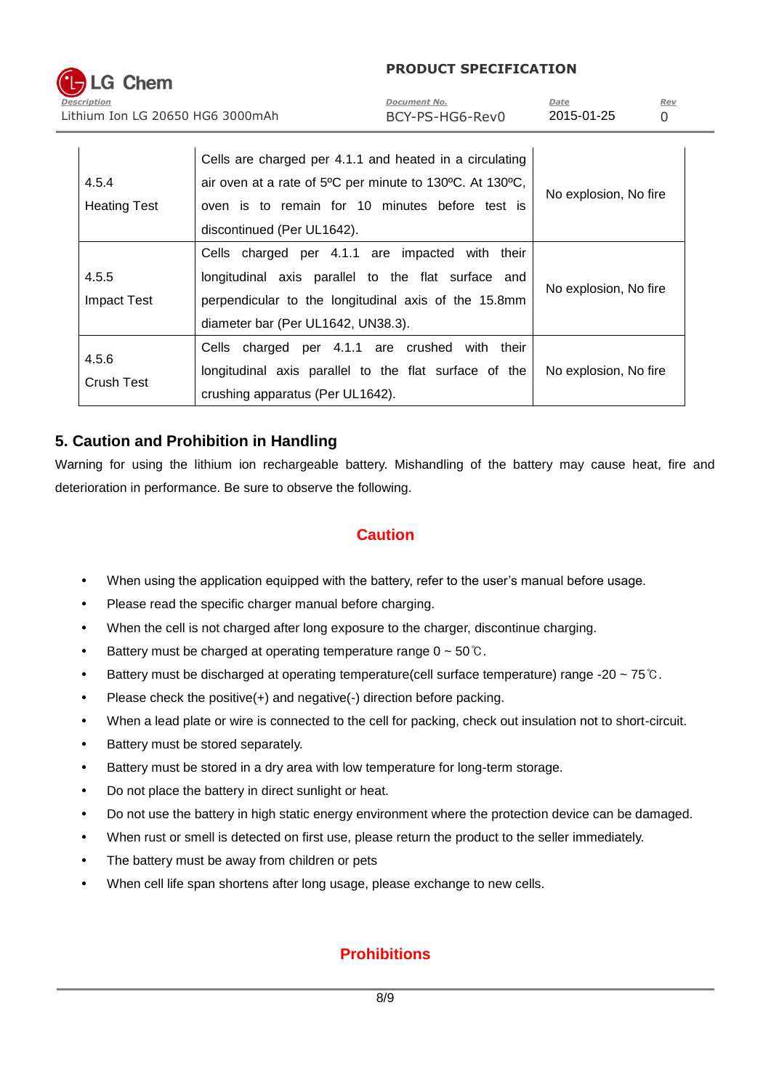*Description Document No. Date Rev* Lithium Ion LG 20650 HG6 3000mAh BCY-PS-HG6-Rev0 2015-01-25 0

| 4.5.4<br><b>Heating Test</b> | Cells are charged per 4.1.1 and heated in a circulating<br>air oven at a rate of 5°C per minute to 130°C. At 130°C,<br>oven is to remain for 10 minutes before test is<br>discontinued (Per UL1642). | No explosion, No fire |
|------------------------------|------------------------------------------------------------------------------------------------------------------------------------------------------------------------------------------------------|-----------------------|
| 4.5.5<br><b>Impact Test</b>  | Cells charged per 4.1.1 are impacted with their<br>longitudinal axis parallel to the flat surface and<br>perpendicular to the longitudinal axis of the 15.8mm<br>diameter bar (Per UL1642, UN38.3).  | No explosion, No fire |
| 4.5.6<br><b>Crush Test</b>   | Cells charged per 4.1.1 are crushed with their<br>longitudinal axis parallel to the flat surface of the<br>crushing apparatus (Per UL1642).                                                          | No explosion, No fire |

# **5. Caution and Prohibition in Handling**

Warning for using the lithium ion rechargeable battery. Mishandling of the battery may cause heat, fire and deterioration in performance. Be sure to observe the following.

# **Caution**

- When using the application equipped with the battery, refer to the user's manual before usage.
- Please read the specific charger manual before charging.
- When the cell is not charged after long exposure to the charger, discontinue charging.
- Battery must be charged at operating temperature range  $0 \sim 50^{\circ}$ C.
- Battery must be discharged at operating temperature(cell surface temperature) range -20 ~ 75℃.
- Please check the positive(+) and negative(-) direction before packing.
- When a lead plate or wire is connected to the cell for packing, check out insulation not to short-circuit.
- Battery must be stored separately.
- Battery must be stored in a dry area with low temperature for long-term storage.
- Do not place the battery in direct sunlight or heat.
- Do not use the battery in high static energy environment where the protection device can be damaged.
- When rust or smell is detected on first use, please return the product to the seller immediately.
- The battery must be away from children or pets
- When cell life span shortens after long usage, please exchange to new cells.

# **Prohibitions**